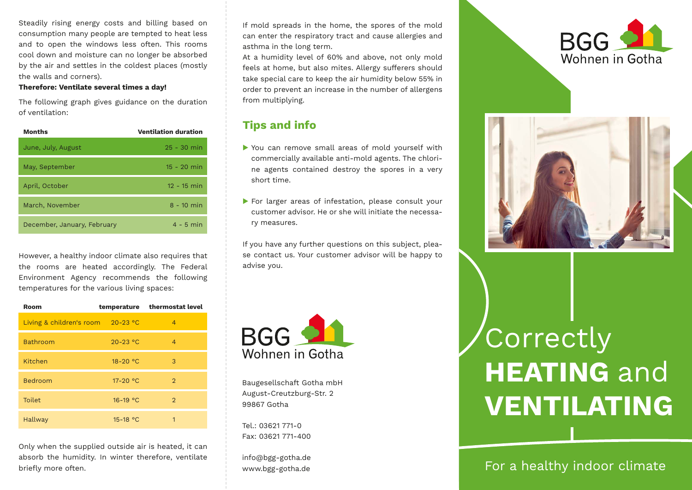Steadily rising energy costs and billing based on consumption many people are tempted to heat less and to open the windows less often. This rooms cool down and moisture can no longer be absorbed by the air and settles in the coldest places (mostly the walls and corners).

#### **Therefore: Ventilate several times a day!**

The following graph gives guidance on the duration of ventilation:

| Months                      | <b>Ventilation duration</b> |
|-----------------------------|-----------------------------|
| June, July, August          | $25 - 30$ min               |
| May, September              | $15 - 20$ min               |
| April, October              | $12 - 15$ min               |
| March, November             | $8 - 10$ min                |
| December, January, February | $4 - 5$ min                 |

However, a healthy indoor climate also requires that the rooms are heated accordingly. The Federal Environment Agency recommends the following temperatures for the various living spaces:

| Room                     |              | temperature thermostat level |
|--------------------------|--------------|------------------------------|
| Living & children's room | $20-23$ °C   | 4                            |
| <b>Bathroom</b>          | $20 - 23$ °C | $\overline{4}$               |
| Kitchen                  | 18-20 °C     | 3                            |
| Bedroom                  | 17-20 °C     | $\overline{2}$               |
| <b>Toilet</b>            | $16-19$ °C   | $\overline{2}$               |
| <b>Hallway</b>           | 15-18 °C     | 1                            |

Only when the supplied outside air is heated, it can absorb the humidity. In winter therefore, ventilate briefly more often.

If mold spreads in the home, the spores of the mold can enter the respiratory tract and cause allergies and asthma in the long term.

At a humidity level of 60% and above, not only mold feels at home, but also mites. Allergy sufferers should take special care to keep the air humidity below 55% in order to prevent an increase in the number of allergens from multiplying.

#### **Tips and info**

- You can remove small areas of mold yourself with commercially available anti-mold agents. The chlorine agents contained destroy the spores in a very short time.
- For larger areas of infestation, please consult your customer advisor. He or she will initiate the necessary measures.

If you have any further questions on this subject, please contact us. Your customer advisor will be happy to advise you.



Baugesellschaft Gotha mbH August-Creutzburg-Str. 2 99867 Gotha

Tel.: 03621 771-0 Fax: 03621 771-400

info@bgg-gotha.de www.bgg-gotha.de





# Correctly **HEATING** and **VENTILATING**

For a healthy indoor climate